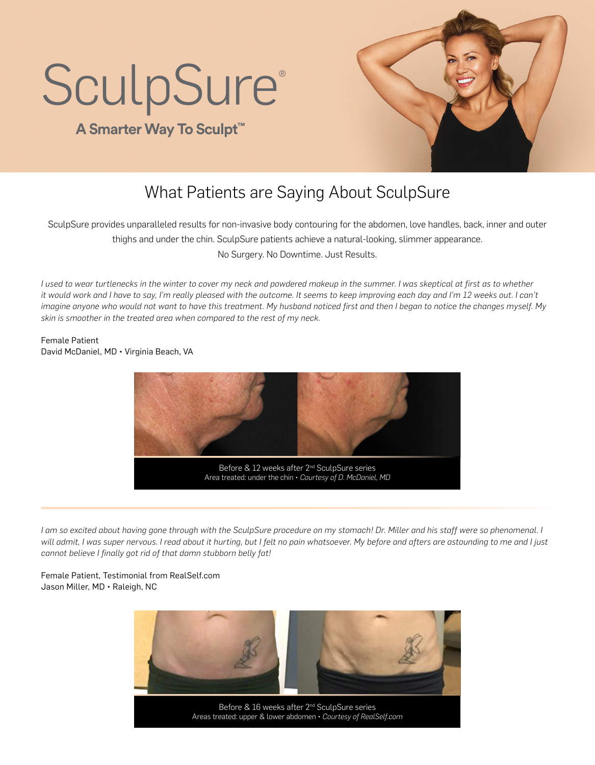# **SculpSure®**

## **A Smarter Way To Sculpt™**



## What Patients are Saying About SculpSure

SculpSure provides unparalleled results for non-invasive body contouring for the abdomen, love handles, back, inner and outer thighs and under the chin. SculpSure patients achieve a natural-looking, slimmer appearance. No Surgery. No Downtime. Just Results.

*I used to wear turtlenecks in the winter to cover my neck and powdered makeup in the summer. I was skeptical at first as to whether it would work and I have to say, I'm really pleased with the outcome. It seems to keep improving each day and I'm 12 weeks out. I can't imagine anyone who would not want to have this treatment. My husband noticed first and then I began to notice the changes myself. My skin is smoother in the treated area when compared to the rest of my neck.*

Female Patient David McDaniel, MD • Virginia Beach, VA



*I am so excited about having gone through with the SculpSure procedure on my stomach! Dr. Miller and his staff were so phenomenal. I will admit, I was super nervous. I read about it hurting, but I felt no pain whatsoever. My before and afters are astounding to me and I just cannot believe I finally got rid of that damn stubborn belly fat!*

Female Patient, Testimonial from RealSelf.com Jason Miller, MD • Raleigh, NC